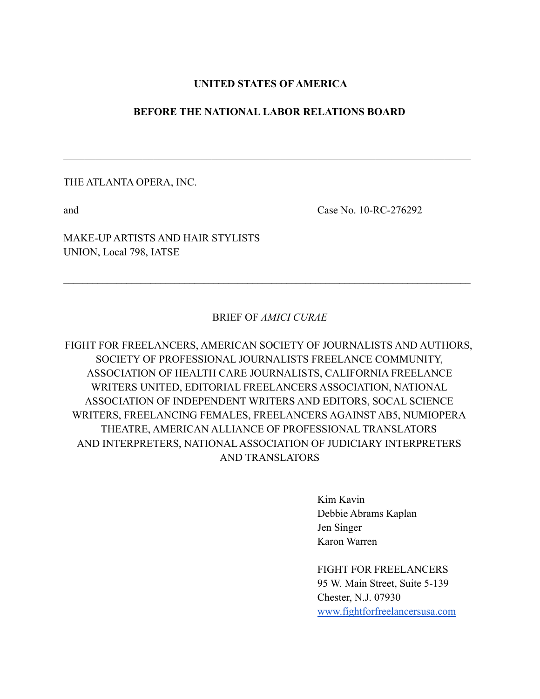### **UNITED STATES OF AMERICA**

### **BEFORE THE NATIONAL LABOR RELATIONS BOARD**

 $\mathcal{L}_\mathcal{L} = \{ \mathcal{L}_\mathcal{L} = \{ \mathcal{L}_\mathcal{L} = \{ \mathcal{L}_\mathcal{L} = \{ \mathcal{L}_\mathcal{L} = \{ \mathcal{L}_\mathcal{L} = \{ \mathcal{L}_\mathcal{L} = \{ \mathcal{L}_\mathcal{L} = \{ \mathcal{L}_\mathcal{L} = \{ \mathcal{L}_\mathcal{L} = \{ \mathcal{L}_\mathcal{L} = \{ \mathcal{L}_\mathcal{L} = \{ \mathcal{L}_\mathcal{L} = \{ \mathcal{L}_\mathcal{L} = \{ \mathcal{L}_\mathcal{$ 

THE ATLANTA OPERA, INC.

and Case No. 10-RC-276292

MAKE-UP ARTISTS AND HAIR STYLISTS UNION, Local 798, IATSE

BRIEF OF *AMICI CURAE*

 $\mathcal{L}_\mathcal{L} = \{ \mathcal{L}_\mathcal{L} = \{ \mathcal{L}_\mathcal{L} = \{ \mathcal{L}_\mathcal{L} = \{ \mathcal{L}_\mathcal{L} = \{ \mathcal{L}_\mathcal{L} = \{ \mathcal{L}_\mathcal{L} = \{ \mathcal{L}_\mathcal{L} = \{ \mathcal{L}_\mathcal{L} = \{ \mathcal{L}_\mathcal{L} = \{ \mathcal{L}_\mathcal{L} = \{ \mathcal{L}_\mathcal{L} = \{ \mathcal{L}_\mathcal{L} = \{ \mathcal{L}_\mathcal{L} = \{ \mathcal{L}_\mathcal{$ 

FIGHT FOR FREELANCERS, AMERICAN SOCIETY OF JOURNALISTS AND AUTHORS, SOCIETY OF PROFESSIONAL JOURNALISTS FREELANCE COMMUNITY, ASSOCIATION OF HEALTH CARE JOURNALISTS, CALIFORNIA FREELANCE WRITERS UNITED, EDITORIAL FREELANCERS ASSOCIATION, NATIONAL ASSOCIATION OF INDEPENDENT WRITERS AND EDITORS, SOCAL SCIENCE WRITERS, FREELANCING FEMALES, FREELANCERS AGAINST AB5, NUMIOPERA THEATRE, AMERICAN ALLIANCE OF PROFESSIONAL TRANSLATORS AND INTERPRETERS, NATIONAL ASSOCIATION OF JUDICIARY INTERPRETERS AND TRANSLATORS

> Kim Kavin Debbie Abrams Kaplan Jen Singer Karon Warren

FIGHT FOR FREELANCERS 95 W. Main Street, Suite 5-139 Chester, N.J. 07930 [www.fightforfreelancersusa.com](http://www.fightforfreelancersusa.com)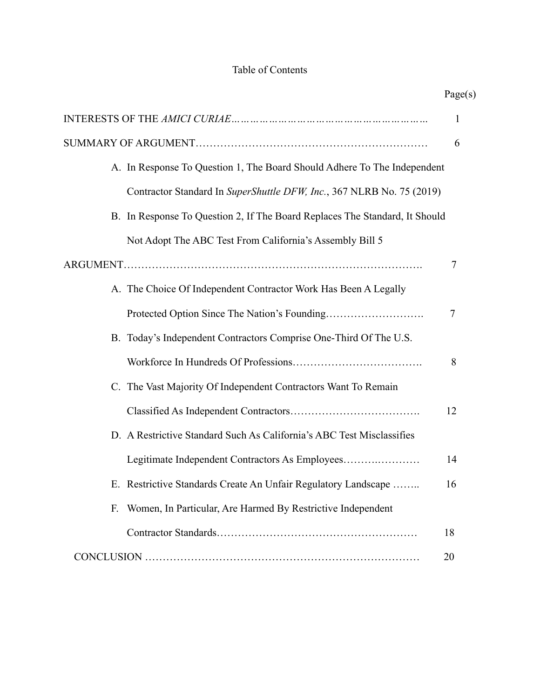## Table of Contents

|                                                                             | Page(s)        |
|-----------------------------------------------------------------------------|----------------|
|                                                                             | 1              |
|                                                                             | 6              |
| A. In Response To Question 1, The Board Should Adhere To The Independent    |                |
| Contractor Standard In SuperShuttle DFW, Inc., 367 NLRB No. 75 (2019)       |                |
| B. In Response To Question 2, If The Board Replaces The Standard, It Should |                |
| Not Adopt The ABC Test From California's Assembly Bill 5                    |                |
|                                                                             | $\overline{7}$ |
| A. The Choice Of Independent Contractor Work Has Been A Legally             |                |
|                                                                             | 7              |
| B. Today's Independent Contractors Comprise One-Third Of The U.S.           |                |
|                                                                             | 8              |
| C. The Vast Majority Of Independent Contractors Want To Remain              |                |
|                                                                             | 12             |
| D. A Restrictive Standard Such As California's ABC Test Misclassifies       |                |
| Legitimate Independent Contractors As Employees                             | 14             |
| E. Restrictive Standards Create An Unfair Regulatory Landscape              | 16             |
| Women, In Particular, Are Harmed By Restrictive Independent<br>F.           |                |
|                                                                             | 18             |
|                                                                             | 20             |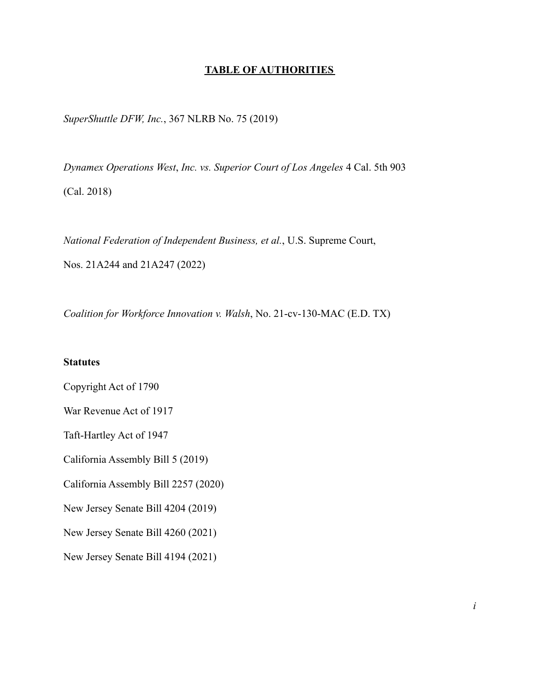## **TABLE OF AUTHORITIES**

*SuperShuttle DFW, Inc.*, 367 NLRB No. 75 (2019)

*Dynamex Operations West*, *Inc. vs. Superior Court of Los Angeles* 4 Cal. 5th 903 (Cal. 2018)

*National Federation of Independent Business, et al.*, U.S. Supreme Court, Nos. 21A244 and 21A247 (2022)

*Coalition for Workforce Innovation v. Walsh*, No. 21-cv-130-MAC (E.D. TX)

### **Statutes**

- Copyright Act of 1790
- War Revenue Act of 1917

Taft-Hartley Act of 1947

California Assembly Bill 5 (2019)

California Assembly Bill 2257 (2020)

New Jersey Senate Bill 4204 (2019)

New Jersey Senate Bill 4260 (2021)

New Jersey Senate Bill 4194 (2021)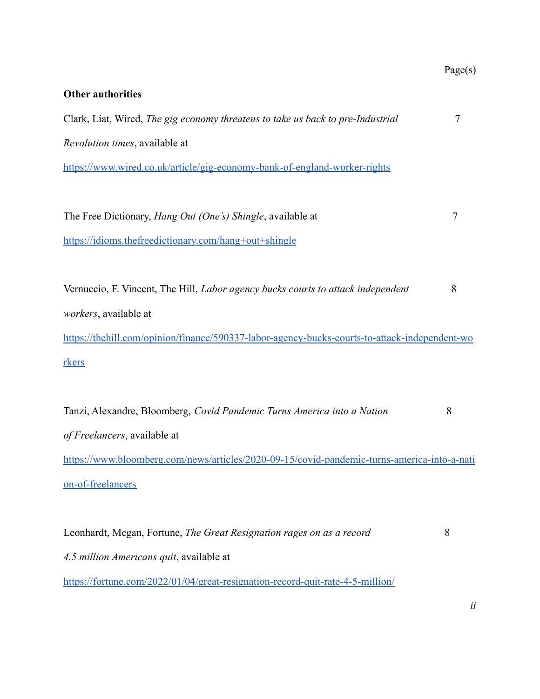## Page(s)

| <b>Other authorities</b>                                                                      |                |
|-----------------------------------------------------------------------------------------------|----------------|
| Clark, Liat, Wired, The gig economy threatens to take us back to pre-Industrial               | 7              |
| Revolution times, available at                                                                |                |
| https://www.wired.co.uk/article/gig-economy-bank-of-england-worker-rights                     |                |
| The Free Dictionary, <i>Hang Out (One's)</i> Shingle, available at                            | $\overline{7}$ |
| https://idioms.thefreedictionary.com/hang+out+shingle                                         |                |
| Vernuccio, F. Vincent, The Hill, Labor agency bucks courts to attack independent              | 8              |
| workers, available at                                                                         |                |
| https://thehill.com/opinion/finance/590337-labor-agency-bucks-courts-to-attack-independent-wo |                |
| rkers                                                                                         |                |
| Tanzi, Alexandre, Bloomberg, Covid Pandemic Turns America into a Nation                       | 8              |
| of Freelancers, available at                                                                  |                |
| https://www.bloomberg.com/news/articles/2020-09-15/covid-pandemic-turns-america-into-a-nati   |                |
| <u>on-of-freelancers</u>                                                                      |                |
| Leonhardt, Megan, Fortune, The Great Resignation rages on as a record                         | 8              |
| 4.5 million Americans quit, available at                                                      |                |
| https://fortune.com/2022/01/04/great-resignation-record-quit-rate-4-5-million/                |                |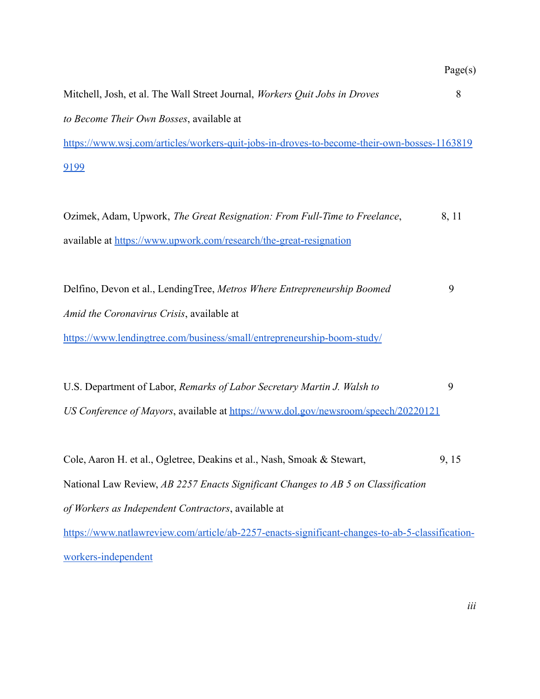Mitchell, Josh, et al. The Wall Street Journal, *Workers Quit Jobs in Droves* 8 *to Become Their Own Bosses*, available at [https://www.wsj.com/articles/workers-quit-jobs-in-droves-to-become-their-own-bosses-1163819](https://www.wsj.com/articles/workers-quit-jobs-in-droves-to-become-their-own-bosses-11638199199)

[9199](https://www.wsj.com/articles/workers-quit-jobs-in-droves-to-become-their-own-bosses-11638199199)

Ozimek, Adam, Upwork, *The Great Resignation: From Full-Time to Freelance*, 8, 11 available at <https://www.upwork.com/research/the-great-resignation>

Delfino, Devon et al., LendingTree, *Metros Where Entrepreneurship Boomed* 9 *Amid the Coronavirus Crisis*, available at

<https://www.lendingtree.com/business/small/entrepreneurship-boom-study/>

U.S. Department of Labor, *Remarks of Labor Secretary Martin J. Walsh to* 9 *US Conference of Mayors*, available at <https://www.dol.gov/newsroom/speech/20220121>

Cole, Aaron H. et al., Ogletree, Deakins et al., Nash, Smoak & Stewart, 9, 15 National Law Review, *AB 2257 Enacts Significant Changes to AB 5 on Classification of Workers as Independent Contractors*, available at [https://www.natlawreview.com/article/ab-2257-enacts-significant-changes-to-ab-5-classification](https://www.natlawreview.com/article/ab-2257-enacts-significant-changes-to-ab-5-classification-workers-independent)[workers-independent](https://www.natlawreview.com/article/ab-2257-enacts-significant-changes-to-ab-5-classification-workers-independent)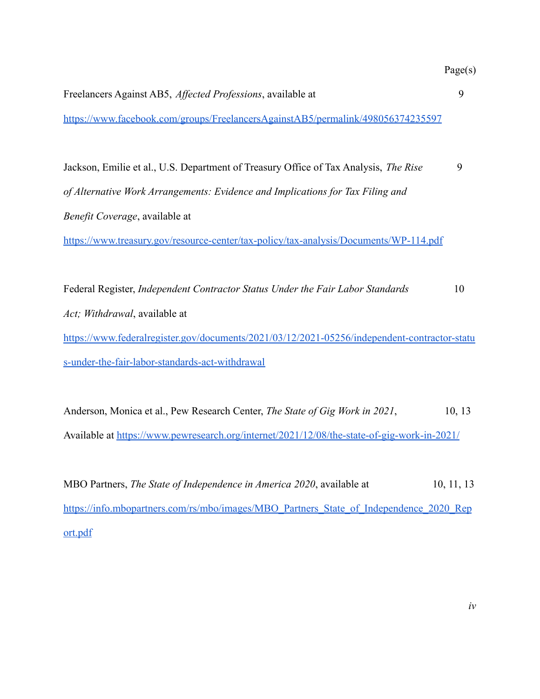Freelancers Against AB5, *Affected Professions*, available at 9 <https://www.facebook.com/groups/FreelancersAgainstAB5/permalink/498056374235597> Jackson, Emilie et al., U.S. Department of Treasury Office of Tax Analysis, *The Rise* 9 *of Alternative Work Arrangements: Evidence and Implications for Tax Filing and*

*Benefit Coverage*, available at

<https://www.treasury.gov/resource-center/tax-policy/tax-analysis/Documents/WP-114.pdf>

Federal Register, *Independent Contractor Status Under the Fair Labor Standards* 10 *Act; Withdrawal*, available at [https://www.federalregister.gov/documents/2021/03/12/2021-05256/independent-contractor-statu](https://www.federalregister.gov/documents/2021/03/12/2021-05256/independent-contractor-status-under-the-fair-labor-standards-act-withdrawal) [s-under-the-fair-labor-standards-act-withdrawal](https://www.federalregister.gov/documents/2021/03/12/2021-05256/independent-contractor-status-under-the-fair-labor-standards-act-withdrawal)

Anderson, Monica et al., Pew Research Center, *The State of Gig Work in 2021*, 10, 13 Available at <https://www.pewresearch.org/internet/2021/12/08/the-state-of-gig-work-in-2021/>

MBO Partners, *The State of Independence in America 2020*, available at 10, 11, 13 [https://info.mbopartners.com/rs/mbo/images/MBO\\_Partners\\_State\\_of\\_Independence\\_2020\\_Rep](https://info.mbopartners.com/rs/mbo/images/MBO_Partners_State_of_Independence_2020_Report.pdf) [ort.pdf](https://info.mbopartners.com/rs/mbo/images/MBO_Partners_State_of_Independence_2020_Report.pdf)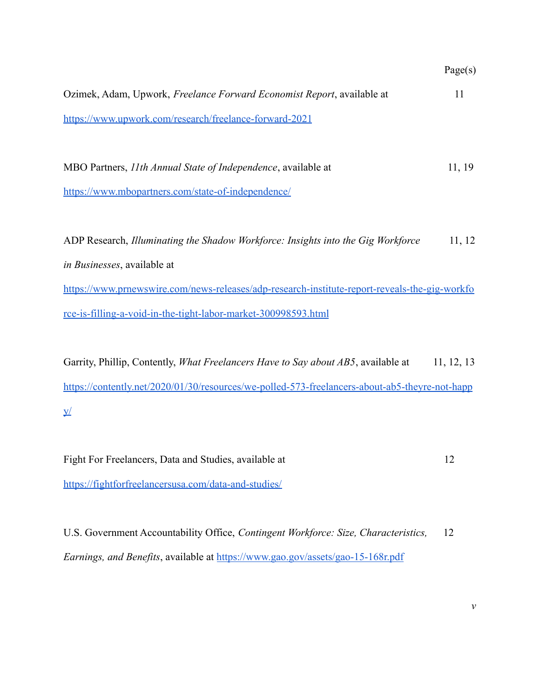|                                                                                                | Page(s)    |
|------------------------------------------------------------------------------------------------|------------|
| Ozimek, Adam, Upwork, Freelance Forward Economist Report, available at                         | 11         |
| https://www.upwork.com/research/freelance-forward-2021                                         |            |
| MBO Partners, 11th Annual State of Independence, available at                                  | 11, 19     |
| https://www.mbopartners.com/state-of-independence/                                             |            |
| ADP Research, Illuminating the Shadow Workforce: Insights into the Gig Workforce               | 11, 12     |
| in Businesses, available at                                                                    |            |
| https://www.prnewswire.com/news-releases/adp-research-institute-report-reveals-the-gig-workfo  |            |
| rce-is-filling-a-void-in-the-tight-labor-market-300998593.html                                 |            |
| Garrity, Phillip, Contently, What Freelancers Have to Say about AB5, available at              | 11, 12, 13 |
| https://contently.net/2020/01/30/resources/we-polled-573-freelancers-about-ab5-theyre-not-happ |            |
| <u>y/</u>                                                                                      |            |

Fight For Freelancers, Data and Studies, available at 12 <https://fightforfreelancersusa.com/data-and-studies/>

U.S. Government Accountability Office, *Contingent Workforce: Size, Characteristics,* 12 *Earnings, and Benefits*, available at <https://www.gao.gov/assets/gao-15-168r.pdf>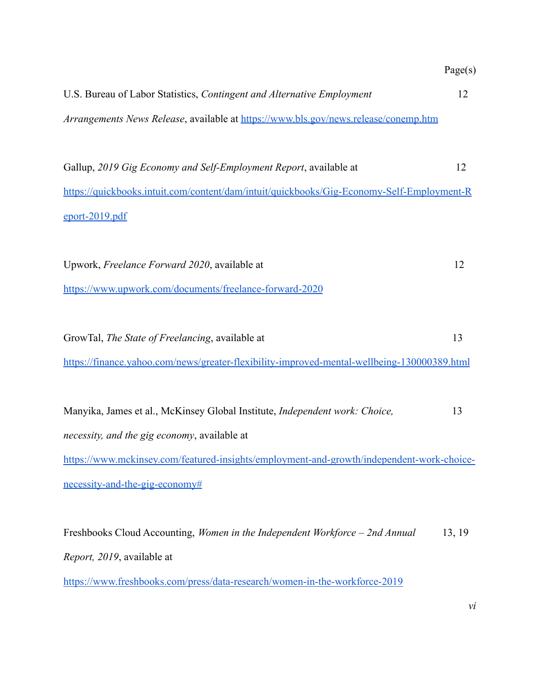|                                                                                             | Page(s) |
|---------------------------------------------------------------------------------------------|---------|
| U.S. Bureau of Labor Statistics, Contingent and Alternative Employment                      | 12      |
| Arrangements News Release, available at https://www.bls.gov/news.release/conemp.htm         |         |
|                                                                                             |         |
| Gallup, 2019 Gig Economy and Self-Employment Report, available at                           | 12      |
| https://quickbooks.intuit.com/content/dam/intuit/quickbooks/Gig-Economy-Self-Employment-R   |         |
| $e$ port-2019.pdf                                                                           |         |
|                                                                                             |         |
| Upwork, Freelance Forward 2020, available at                                                | 12      |
| https://www.upwork.com/documents/freelance-forward-2020                                     |         |
|                                                                                             |         |
| GrowTal, The State of Freelancing, available at                                             | 13      |
| https://finance.yahoo.com/news/greater-flexibility-improved-mental-wellbeing-130000389.html |         |
|                                                                                             |         |
| Manyika, James et al., McKinsey Global Institute, Independent work: Choice,                 | 13      |
| necessity, and the gig economy, available at                                                |         |
| https://www.mckinsey.com/featured-insights/employment-and-growth/independent-work-choice-   |         |
| necessity-and-the-gig-economy#                                                              |         |
|                                                                                             |         |
| Freshbooks Cloud Accounting, Women in the Independent Workforce – 2nd Annual                | 13, 19  |
| Report, 2019, available at                                                                  |         |
| https://www.freshbooks.com/press/data-research/women-in-the-workforce-2019                  |         |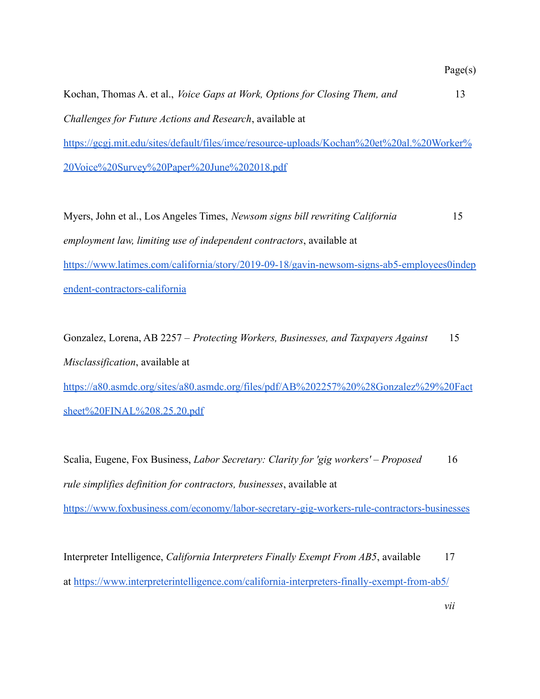Kochan, Thomas A. et al., *Voice Gaps at Work, Options for Closing Them, and* 13 *Challenges for Future Actions and Research*, available at [https://gcgj.mit.edu/sites/default/files/imce/resource-uploads/Kochan%20et%20al.%20Worker%](https://gcgj.mit.edu/sites/default/files/imce/resource-uploads/Kochan%20et%20al.%20Worker%20Voice%20Survey%20Paper%20June%202018.pdf) [20Voice%20Survey%20Paper%20June%202018.pdf](https://gcgj.mit.edu/sites/default/files/imce/resource-uploads/Kochan%20et%20al.%20Worker%20Voice%20Survey%20Paper%20June%202018.pdf)

Myers, John et al., Los Angeles Times, *Newsom signs bill rewriting California* 15 *employment law, limiting use of independent contractors*, available at [https://www.latimes.com/california/story/2019-09-18/gavin-newsom-signs-ab5-employees0indep](https://www.latimes.com/california/story/2019-09-18/gavin-newsom-signs-ab5-employees0independent-contractors-california) [endent-contractors-california](https://www.latimes.com/california/story/2019-09-18/gavin-newsom-signs-ab5-employees0independent-contractors-california)

Gonzalez, Lorena, AB 2257 – *Protecting Workers, Businesses, and Taxpayers Against* 15 *Misclassification*, available at [https://a80.asmdc.org/sites/a80.asmdc.org/files/pdf/AB%202257%20%28Gonzalez%29%20Fact](https://a80.asmdc.org/sites/a80.asmdc.org/files/pdf/AB%202257%20%28Gonzalez%29%20Factsheet%20FINAL%208.25.20.pdf) [sheet%20FINAL%208.25.20.pdf](https://a80.asmdc.org/sites/a80.asmdc.org/files/pdf/AB%202257%20%28Gonzalez%29%20Factsheet%20FINAL%208.25.20.pdf)

Scalia, Eugene, Fox Business, *Labor Secretary: Clarity for 'gig workers' – Proposed* 16 *rule simplifies definition for contractors, businesses*, available at <https://www.foxbusiness.com/economy/labor-secretary-gig-workers-rule-contractors-businesses>

Interpreter Intelligence, *California Interpreters Finally Exempt From AB5*, available 17 at <https://www.interpreterintelligence.com/california-interpreters-finally-exempt-from-ab5/>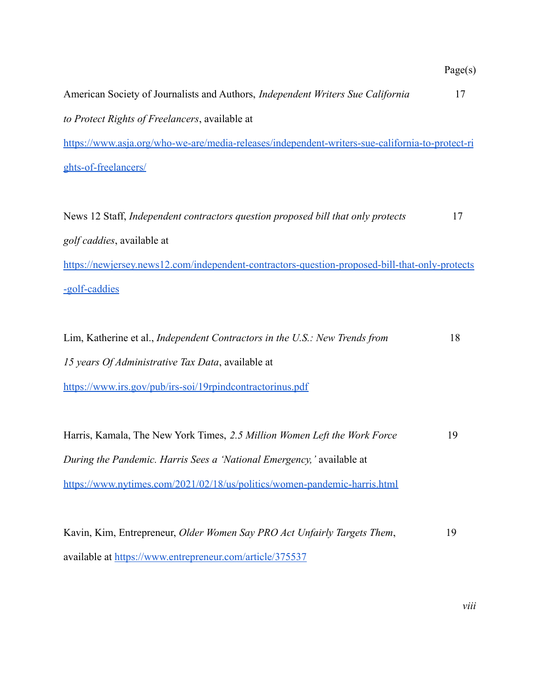Page(s) American Society of Journalists and Authors, *Independent Writers Sue California* 17 *to Protect Rights of Freelancers*, available at [https://www.asja.org/who-we-are/media-releases/independent-writers-sue-california-to-protect-ri](https://www.asja.org/who-we-are/media-releases/independent-writers-sue-california-to-protect-rights-of-freelancers/) [ghts-of-freelancers/](https://www.asja.org/who-we-are/media-releases/independent-writers-sue-california-to-protect-rights-of-freelancers/) News 12 Staff, *Independent contractors question proposed bill that only protects* 17 *golf caddies*, available at [https://newjersey.news12.com/independent-contractors-question-proposed-bill-that-only-protects](https://newjersey.news12.com/independent-contractors-question-proposed-bill-that-only-protects-golf-caddies) [-golf-caddies](https://newjersey.news12.com/independent-contractors-question-proposed-bill-that-only-protects-golf-caddies) Lim, Katherine et al., *Independent Contractors in the U.S.: New Trends from* 18 *15 years Of Administrative Tax Data*, available at <https://www.irs.gov/pub/irs-soi/19rpindcontractorinus.pdf> Harris, Kamala, The New York Times, *2.5 Million Women Left the Work Force* 19 *During the Pandemic. Harris Sees a 'National Emergency,'* available at <https://www.nytimes.com/2021/02/18/us/politics/women-pandemic-harris.html> Kavin, Kim, Entrepreneur, *Older Women Say PRO Act Unfairly Targets Them*, 19

available at <https://www.entrepreneur.com/article/375537>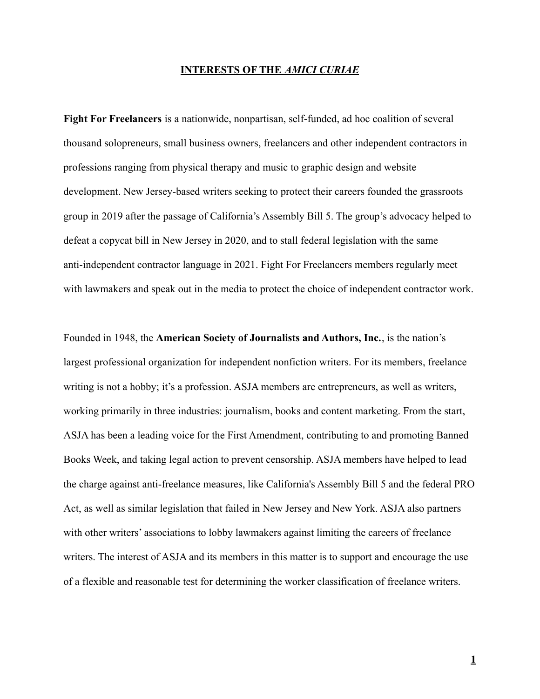#### **INTERESTS OF THE** *AMICI CURIAE*

**Fight For Freelancers** is a nationwide, nonpartisan, self-funded, ad hoc coalition of several thousand solopreneurs, small business owners, freelancers and other independent contractors in professions ranging from physical therapy and music to graphic design and website development. New Jersey-based writers seeking to protect their careers founded the grassroots group in 2019 after the passage of California's Assembly Bill 5. The group's advocacy helped to defeat a copycat bill in New Jersey in 2020, and to stall federal legislation with the same anti-independent contractor language in 2021. Fight For Freelancers members regularly meet with lawmakers and speak out in the media to protect the choice of independent contractor work.

Founded in 1948, the **American Society of Journalists and Authors, Inc.**, is the nation's largest professional organization for independent nonfiction writers. For its members, freelance writing is not a hobby; it's a profession. ASJA members are entrepreneurs, as well as writers, working primarily in three industries: journalism, books and content marketing. From the start, ASJA has been a leading voice for the First Amendment, contributing to and promoting Banned Books Week, and taking legal action to prevent censorship. ASJA members have helped to lead the charge against anti-freelance measures, like California's Assembly Bill 5 and the federal PRO Act, as well as similar legislation that failed in New Jersey and New York. ASJA also partners with other writers' associations to lobby lawmakers against limiting the careers of freelance writers. The interest of ASJA and its members in this matter is to support and encourage the use of a flexible and reasonable test for determining the worker classification of freelance writers.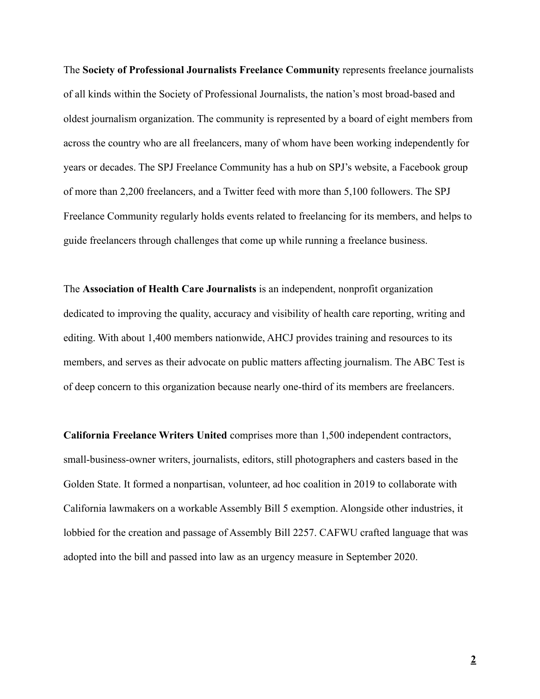The **Society of Professional Journalists Freelance Community** represents freelance journalists of all kinds within the Society of Professional Journalists, the nation's most broad-based and oldest journalism organization. The community is represented by a board of eight members from across the country who are all freelancers, many of whom have been working independently for years or decades. The SPJ Freelance Community has a hub on SPJ's website, a Facebook group of more than 2,200 freelancers, and a Twitter feed with more than 5,100 followers. The SPJ Freelance Community regularly holds events related to freelancing for its members, and helps to guide freelancers through challenges that come up while running a freelance business.

The **Association of Health Care Journalists** is an independent, nonprofit organization dedicated to improving the quality, accuracy and visibility of health care reporting, writing and editing. With about 1,400 members nationwide, AHCJ provides training and resources to its members, and serves as their advocate on public matters affecting journalism. The ABC Test is of deep concern to this organization because nearly one-third of its members are freelancers.

**California Freelance Writers United** comprises more than 1,500 independent contractors, small-business-owner writers, journalists, editors, still photographers and casters based in the Golden State. It formed a nonpartisan, volunteer, ad hoc coalition in 2019 to collaborate with California lawmakers on a workable Assembly Bill 5 exemption. Alongside other industries, it lobbied for the creation and passage of Assembly Bill 2257. CAFWU crafted language that was adopted into the bill and passed into law as an urgency measure in September 2020.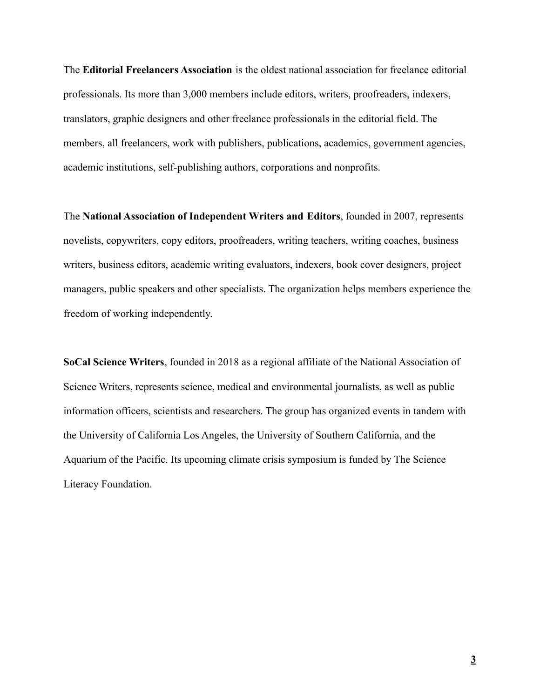The **Editorial Freelancers Association** is the oldest national association for freelance editorial professionals. Its more than 3,000 members include editors, writers, proofreaders, indexers, translators, graphic designers and other freelance professionals in the editorial field. The members, all freelancers, work with publishers, publications, academics, government agencies, academic institutions, self-publishing authors, corporations and nonprofits.

The **National Association of Independent Writers and Editors**, founded in 2007, represents novelists, copywriters, copy editors, proofreaders, writing teachers, writing coaches, business writers, business editors, academic writing evaluators, indexers, book cover designers, project managers, public speakers and other specialists. The organization helps members experience the freedom of working independently.

**SoCal Science Writers**, founded in 2018 as a regional affiliate of the National Association of Science Writers, represents science, medical and environmental journalists, as well as public information officers, scientists and researchers. The group has organized events in tandem with the University of California Los Angeles, the University of Southern California, and the Aquarium of the Pacific. Its upcoming climate crisis symposium is funded by The Science Literacy Foundation.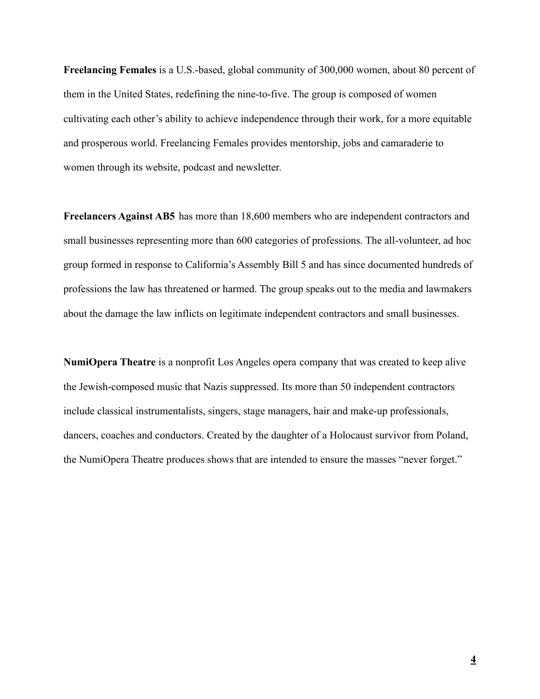**Freelancing Females** is a U.S.-based, global community of 300,000 women, about 80 percent of them in the United States, redefining the nine-to-five. The group is composed of women cultivating each other's ability to achieve independence through their work, for a more equitable and prosperous world. Freelancing Females provides mentorship, jobs and camaraderie to women through its website, podcast and newsletter.

**Freelancers Against AB5** has more than 18,600 members who are independent contractors and small businesses representing more than 600 categories of professions. The all-volunteer, ad hoc group formed in response to California's Assembly Bill 5 and has since documented hundreds of professions the law has threatened or harmed. The group speaks out to the media and lawmakers about the damage the law inflicts on legitimate independent contractors and small businesses.

**NumiOpera Theatre** is a nonprofit Los Angeles opera company that was created to keep alive the Jewish-composed music that Nazis suppressed. Its more than 50 independent contractors include classical instrumentalists, singers, stage managers, hair and make-up professionals, dancers, coaches and conductors. Created by the daughter of a Holocaust survivor from Poland, the NumiOpera Theatre produces shows that are intended to ensure the masses "never forget."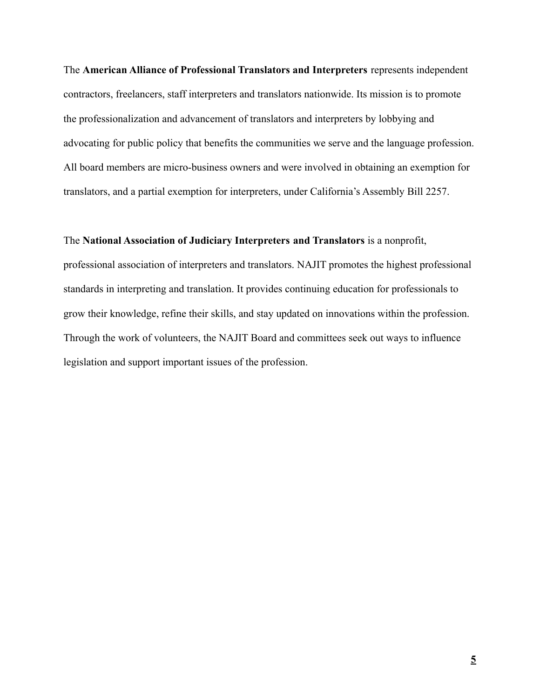The **American Alliance of Professional Translators and Interpreters** represents independent contractors, freelancers, staff interpreters and translators nationwide. Its mission is to promote the professionalization and advancement of translators and interpreters by lobbying and advocating for public policy that benefits the communities we serve and the language profession. All board members are micro-business owners and were involved in obtaining an exemption for translators, and a partial exemption for interpreters, under California's Assembly Bill 2257.

#### The **National Association of Judiciary Interpreters and Translators** is a nonprofit,

professional association of interpreters and translators. NAJIT promotes the highest professional standards in interpreting and translation. It provides continuing education for professionals to grow their knowledge, refine their skills, and stay updated on innovations within the profession. Through the work of volunteers, the NAJIT Board and committees seek out ways to influence legislation and support important issues of the profession.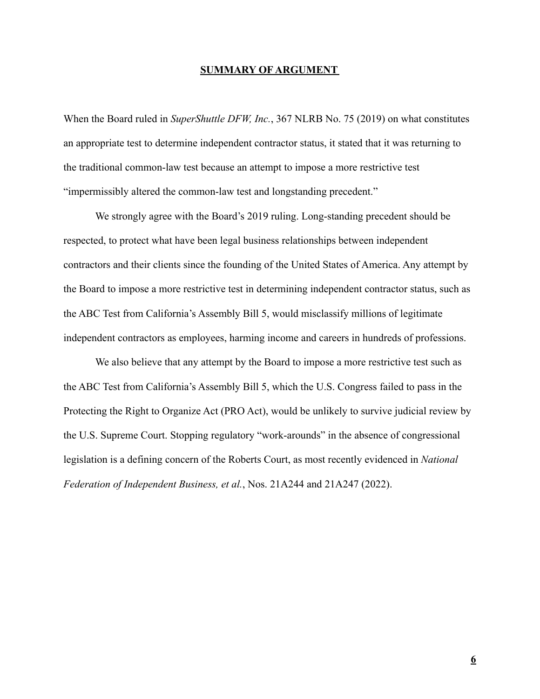#### **SUMMARY OF ARGUMENT**

When the Board ruled in *SuperShuttle DFW, Inc.*, 367 NLRB No. 75 (2019) on what constitutes an appropriate test to determine independent contractor status, it stated that it was returning to the traditional common-law test because an attempt to impose a more restrictive test "impermissibly altered the common-law test and longstanding precedent."

We strongly agree with the Board's 2019 ruling. Long-standing precedent should be respected, to protect what have been legal business relationships between independent contractors and their clients since the founding of the United States of America. Any attempt by the Board to impose a more restrictive test in determining independent contractor status, such as the ABC Test from California's Assembly Bill 5, would misclassify millions of legitimate independent contractors as employees, harming income and careers in hundreds of professions.

We also believe that any attempt by the Board to impose a more restrictive test such as the ABC Test from California's Assembly Bill 5, which the U.S. Congress failed to pass in the Protecting the Right to Organize Act (PRO Act), would be unlikely to survive judicial review by the U.S. Supreme Court. Stopping regulatory "work-arounds" in the absence of congressional legislation is a defining concern of the Roberts Court, as most recently evidenced in *National Federation of Independent Business, et al.*, Nos. 21A244 and 21A247 (2022).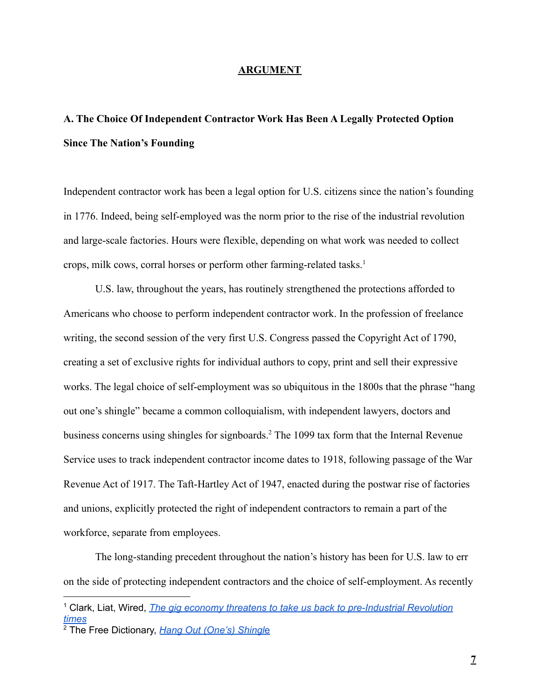#### **ARGUMENT**

## **A. The Choice Of Independent Contractor Work Has Been A Legally Protected Option Since The Nation's Founding**

Independent contractor work has been a legal option for U.S. citizens since the nation's founding in 1776. Indeed, being self-employed was the norm prior to the rise of the industrial revolution and large-scale factories. Hours were flexible, depending on what work was needed to collect crops, milk cows, corral horses or perform other farming-related tasks.<sup>1</sup>

U.S. law, throughout the years, has routinely strengthened the protections afforded to Americans who choose to perform independent contractor work. In the profession of freelance writing, the second session of the very first U.S. Congress passed the Copyright Act of 1790, creating a set of exclusive rights for individual authors to copy, print and sell their expressive works. The legal choice of self-employment was so ubiquitous in the 1800s that the phrase "hang out one's shingle" became a common colloquialism, with independent lawyers, doctors and business concerns using shingles for signboards.<sup>2</sup> The 1099 tax form that the Internal Revenue Service uses to track independent contractor income dates to 1918, following passage of the War Revenue Act of 1917. The Taft-Hartley Act of 1947, enacted during the postwar rise of factories and unions, explicitly protected the right of independent contractors to remain a part of the workforce, separate from employees.

The long-standing precedent throughout the nation's history has been for U.S. law to err on the side of protecting independent contractors and the choice of self-employment. As recently

<sup>1</sup> Clark, Liat, Wired, *The gig economy threatens to take us back to [pre-Industrial](https://www.wired.co.uk/article/gig-economy-bank-of-england-worker-rights) Revolution [times](https://www.wired.co.uk/article/gig-economy-bank-of-england-worker-rights)*

<sup>2</sup> The Free Dictionary, *Hang Out [\(One's\)](https://idioms.thefreedictionary.com/hang+out+shingle) Shingl*e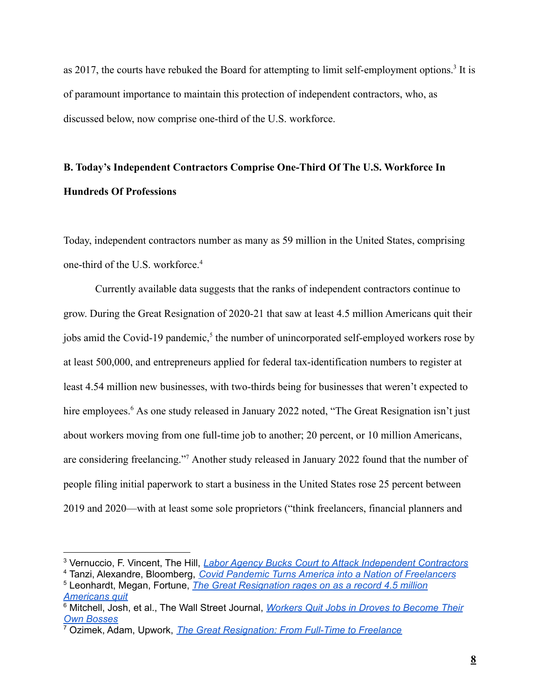as 2017, the courts have rebuked the Board for attempting to limit self-employment options.<sup>3</sup> It is of paramount importance to maintain this protection of independent contractors, who, as discussed below, now comprise one-third of the U.S. workforce.

## **B. Today's Independent Contractors Comprise One-Third Of The U.S. Workforce In Hundreds Of Professions**

Today, independent contractors number as many as 59 million in the United States, comprising one-third of the U.S. workforce.<sup>4</sup>

Currently available data suggests that the ranks of independent contractors continue to grow. During the Great Resignation of 2020-21 that saw at least 4.5 million Americans quit their jobs amid the Covid-19 pandemic,<sup>5</sup> the number of unincorporated self-employed workers rose by at least 500,000, and entrepreneurs applied for federal tax-identification numbers to register at least 4.54 million new businesses, with two-thirds being for businesses that weren't expected to hire employees.<sup>6</sup> As one study released in January 2022 noted, "The Great Resignation isn't just about workers moving from one full-time job to another; 20 percent, or 10 million Americans, are considering freelancing."<sup>7</sup> Another study released in January 2022 found that the number of people filing initial paperwork to start a business in the United States rose 25 percent between 2019 and 2020—with at least some sole proprietors ("think freelancers, financial planners and

<sup>3</sup> Vernuccio, F. Vincent, The Hill, *Labor Agency Bucks Court to Attack [Independent](https://thehill.com/opinion/finance/590337-labor-agency-bucks-courts-to-attack-independent-workers) Contractors*

<sup>5</sup> Leonhardt, Megan, Fortune, *The Great [Resignation](https://fortune.com/2022/01/04/great-resignation-record-quit-rate-4-5-million/) rages on as a record 4.5 million* <sup>4</sup> Tanzi, Alexandre, Bloomberg, *Covid Pandemic Turns America into a Nation of [Freelancers](https://www.bloomberg.com/news/articles/2020-09-15/covid-pandemic-turns-america-into-a-nation-of-freelancers)*

<sup>6</sup> Mitchell, Josh, et al., The Wall Street Journal, *[Workers](https://www.wsj.com/articles/workers-quit-jobs-in-droves-to-become-their-own-bosses-11638199199) Quit Jobs in Droves to Become Their [Americans](https://fortune.com/2022/01/04/great-resignation-record-quit-rate-4-5-million/) quit*

*Own [Bosses](https://www.wsj.com/articles/workers-quit-jobs-in-droves-to-become-their-own-bosses-11638199199)*

<sup>7</sup> Ozimek, Adam, Upwork, *The Great [Resignation:](https://www.upwork.com/research/the-great-resignation) From Full-Time to Freelance*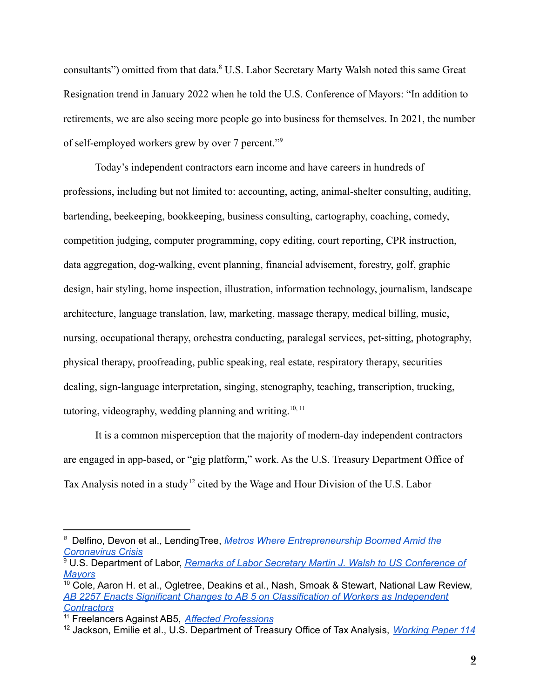consultants") omitted from that data.<sup>8</sup> U.S. Labor Secretary Marty Walsh noted this same Great Resignation trend in January 2022 when he told the U.S. Conference of Mayors: "In addition to retirements, we are also seeing more people go into business for themselves. In 2021, the number of self-employed workers grew by over 7 percent."<sup>9</sup>

Today's independent contractors earn income and have careers in hundreds of professions, including but not limited to: accounting, acting, animal-shelter consulting, auditing, bartending, beekeeping, bookkeeping, business consulting, cartography, coaching, comedy, competition judging, computer programming, copy editing, court reporting, CPR instruction, data aggregation, dog-walking, event planning, financial advisement, forestry, golf, graphic design, hair styling, home inspection, illustration, information technology, journalism, landscape architecture, language translation, law, marketing, massage therapy, medical billing, music, nursing, occupational therapy, orchestra conducting, paralegal services, pet-sitting, photography, physical therapy, proofreading, public speaking, real estate, respiratory therapy, securities dealing, sign-language interpretation, singing, stenography, teaching, transcription, trucking, tutoring, videography, wedding planning and writing.<sup>10, 11</sup>

It is a common misperception that the majority of modern-day independent contractors are engaged in app-based, or "gig platform," work. As the U.S. Treasury Department Office of Tax Analysis noted in a study<sup>12</sup> cited by the Wage and Hour Division of the U.S. Labor

*<sup>8</sup>* Delfino, Devon et al., LendingTree, *Metros Where [Entrepreneurship](https://www.lendingtree.com/business/small/entrepreneurship-boom-study/) Boomed Amid the [Coronavirus](https://www.lendingtree.com/business/small/entrepreneurship-boom-study/) Crisis*

<sup>9</sup> U.S. Department of Labor, *Remarks of Labor Secretary Martin J. Walsh to US [Conference](https://www.dol.gov/newsroom/speech/20220121) of [Mayors](https://www.dol.gov/newsroom/speech/20220121)*

<sup>&</sup>lt;sup>10</sup> Cole, Aaron H. et al., Ogletree, Deakins et al., Nash, Smoak & Stewart, National Law Review, *AB 2257 Enacts Significant Changes to AB 5 on [Classification](https://www.natlawreview.com/article/ab-2257-enacts-significant-changes-to-ab-5-classification-workers-independent) of Workers as Independent [Contractors](https://www.natlawreview.com/article/ab-2257-enacts-significant-changes-to-ab-5-classification-workers-independent)*

<sup>11</sup> Freelancers Against AB5, *Affected [Professions](https://www.facebook.com/groups/FreelancersAgainstAB5/permalink/498056374235597)*

<sup>12</sup> Jackson, Emilie et al., U.S. Department of Treasury Office of Tax Analysis, *[Working](https://www.treasury.gov/resource-center/tax-policy/tax-analysis/Documents/WP-114.pdf) Paper 114*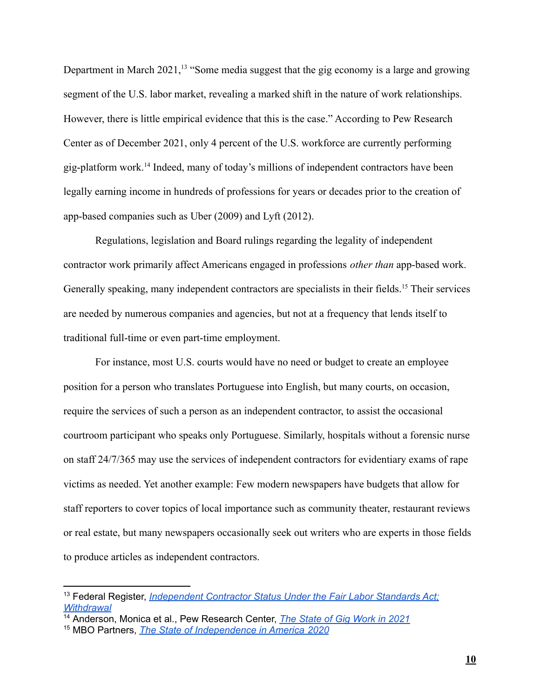Department in March 2021,<sup>13</sup> "Some media suggest that the gig economy is a large and growing segment of the U.S. labor market, revealing a marked shift in the nature of work relationships. However, there is little empirical evidence that this is the case." According to Pew Research Center as of December 2021, only 4 percent of the U.S. workforce are currently performing gig-platform work.<sup>14</sup> Indeed, many of today's millions of independent contractors have been legally earning income in hundreds of professions for years or decades prior to the creation of app-based companies such as Uber (2009) and Lyft (2012).

Regulations, legislation and Board rulings regarding the legality of independent contractor work primarily affect Americans engaged in professions *other than* app-based work. Generally speaking, many independent contractors are specialists in their fields.<sup>15</sup> Their services are needed by numerous companies and agencies, but not at a frequency that lends itself to traditional full-time or even part-time employment.

For instance, most U.S. courts would have no need or budget to create an employee position for a person who translates Portuguese into English, but many courts, on occasion, require the services of such a person as an independent contractor, to assist the occasional courtroom participant who speaks only Portuguese. Similarly, hospitals without a forensic nurse on staff 24/7/365 may use the services of independent contractors for evidentiary exams of rape victims as needed. Yet another example: Few modern newspapers have budgets that allow for staff reporters to cover topics of local importance such as community theater, restaurant reviews or real estate, but many newspapers occasionally seek out writers who are experts in those fields to produce articles as independent contractors.

<sup>13</sup> Federal Register, *[Independent](https://www.federalregister.gov/documents/2021/03/12/2021-05256/independent-contractor-status-under-the-fair-labor-standards-act-withdrawal) Contractor Status Under the Fair Labor Standards Act; [Withdrawal](https://www.federalregister.gov/documents/2021/03/12/2021-05256/independent-contractor-status-under-the-fair-labor-standards-act-withdrawal)*

<sup>14</sup> Anderson, Monica et al., Pew Research Center, *The [State](https://www.pewresearch.org/internet/2021/12/08/the-state-of-gig-work-in-2021/) of Gig Work in 2021*

<sup>15</sup> MBO Partners, *The State of [Independence](https://info.mbopartners.com/rs/mbo/images/MBO_Partners_State_of_Independence_2020_Report.pdf) in America 2020*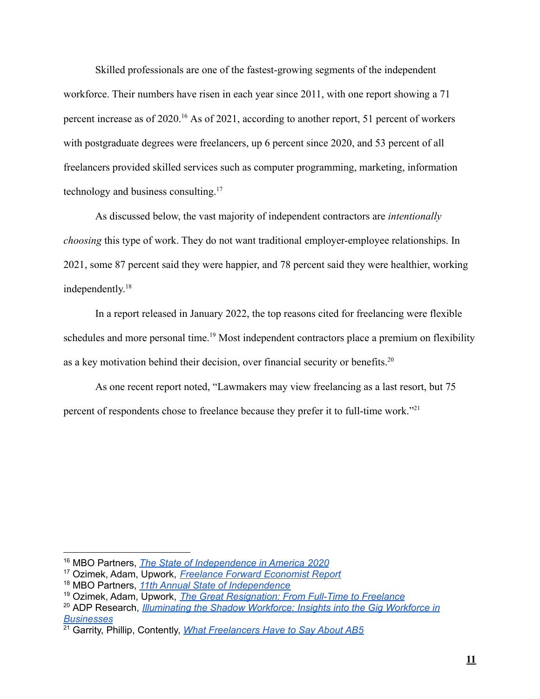Skilled professionals are one of the fastest-growing segments of the independent workforce. Their numbers have risen in each year since 2011, with one report showing a 71 percent increase as of 2020.<sup>16</sup> As of 2021, according to another report, 51 percent of workers with postgraduate degrees were freelancers, up 6 percent since 2020, and 53 percent of all freelancers provided skilled services such as computer programming, marketing, information technology and business consulting.<sup>17</sup>

As discussed below, the vast majority of independent contractors are *intentionally choosing* this type of work. They do not want traditional employer-employee relationships. In 2021, some 87 percent said they were happier, and 78 percent said they were healthier, working independently. 18

In a report released in January 2022, the top reasons cited for freelancing were flexible schedules and more personal time.<sup>19</sup> Most independent contractors place a premium on flexibility as a key motivation behind their decision, over financial security or benefits.<sup>20</sup>

As one recent report noted, "Lawmakers may view freelancing as a last resort, but 75 percent of respondents chose to freelance because they prefer it to full-time work."<sup>21</sup>

<sup>16</sup> MBO Partners, *The State of [Independence](https://info.mbopartners.com/rs/mbo/images/MBO_Partners_State_of_Independence_2020_Report.pdf) in America 2020*

<sup>17</sup> Ozimek, Adam, Upwork, *Freelance Forward [Economist](https://www.upwork.com/research/freelance-forward-2021) Report*

<sup>18</sup> MBO Partners, *11th Annual State of [Independence](https://www.mbopartners.com/state-of-independence/)*

<sup>19</sup> Ozimek, Adam, Upwork, *The Great [Resignation:](https://www.upwork.com/research/the-great-resignation) From Full-Time to Freelance*

<sup>20</sup> ADP Research, *[Illuminating](https://www.prnewswire.com/news-releases/adp-research-institute-report-reveals-the-gig-workforce-is-filling-a-void-in-the-tight-labor-market-300998593.html?fbclid=IwAR1Ic8xnqPFyd6TbK0NyQKfjqZ5N12MDRsiABVgWzJeXdfFf3e0T8PLocFg) the Shadow Workforce: Insights into the Gig Workforce in [Businesses](https://www.prnewswire.com/news-releases/adp-research-institute-report-reveals-the-gig-workforce-is-filling-a-void-in-the-tight-labor-market-300998593.html?fbclid=IwAR1Ic8xnqPFyd6TbK0NyQKfjqZ5N12MDRsiABVgWzJeXdfFf3e0T8PLocFg)*

<sup>21</sup> Garrity, Phillip, Contently, *What [Freelancers](https://contently.net/2020/01/30/resources/we-polled-573-freelancers-about-ab5-theyre-not-happy/) Have to Say About AB5*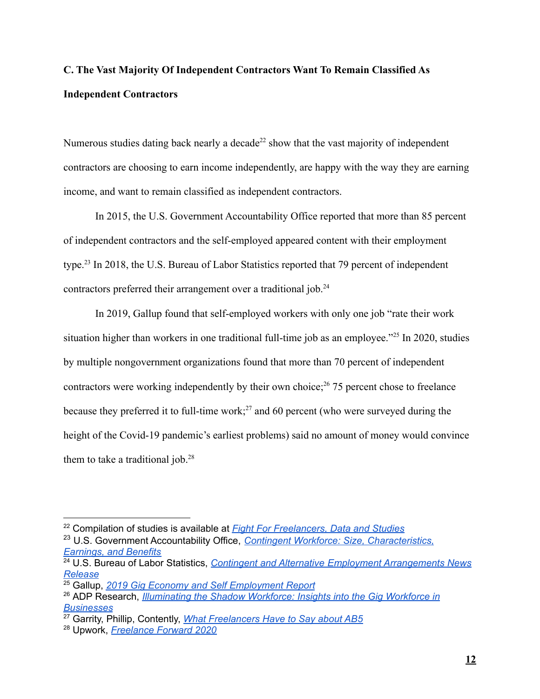# **C. The Vast Majority Of Independent Contractors Want To Remain Classified As Independent Contractors**

Numerous studies dating back nearly a decade<sup>22</sup> show that the vast majority of independent contractors are choosing to earn income independently, are happy with the way they are earning income, and want to remain classified as independent contractors.

In 2015, the U.S. Government Accountability Office reported that more than 85 percent of independent contractors and the self-employed appeared content with their employment type.<sup>23</sup> In 2018, the U.S. Bureau of Labor Statistics reported that 79 percent of independent contractors preferred their arrangement over a traditional job.<sup>24</sup>

In 2019, Gallup found that self-employed workers with only one job "rate their work situation higher than workers in one traditional full-time job as an employee."<sup>25</sup> In 2020, studies by multiple nongovernment organizations found that more than 70 percent of independent contractors were working independently by their own choice;<sup>26</sup> 75 percent chose to freelance because they preferred it to full-time work; $^{27}$  and 60 percent (who were surveyed during the height of the Covid-19 pandemic's earliest problems) said no amount of money would convince them to take a traditional job. $28$ 

<sup>22</sup> Compilation of studies is available at *Fight For [Freelancers,](https://fightforfreelancersusa.com/data-and-studies/) Data and Studies*

<sup>23</sup> U.S. Government Accountability Office, *Contingent Workforce: Size, [Characteristics,](https://www.gao.gov/assets/gao-15-168r.pdf) [Earnings,](https://www.gao.gov/assets/gao-15-168r.pdf) and Benefits*

<sup>24</sup> U.S. Bureau of Labor Statistics, *Contingent and Alternative Employment [Arrangements](https://www.bls.gov/news.release/conemp.htm) News [Release](https://www.bls.gov/news.release/conemp.htm)*

<sup>25</sup> Gallup, *2019 Gig Economy and Self [Employment](https://quickbooks.intuit.com/content/dam/intuit/quickbooks/Gig-Economy-Self-Employment-Report-2019.pdf) Report*

<sup>26</sup> ADP Research, *[Illuminating](https://www.prnewswire.com/news-releases/adp-research-institute-report-reveals-the-gig-workforce-is-filling-a-void-in-the-tight-labor-market-300998593.html) the Shadow Workforce: Insights into the Gig Workforce in [Businesses](https://www.prnewswire.com/news-releases/adp-research-institute-report-reveals-the-gig-workforce-is-filling-a-void-in-the-tight-labor-market-300998593.html)*

<sup>27</sup> Garrity, Phillip, Contently, *What [Freelancers](https://contently.net/2020/01/30/resources/we-polled-573-freelancers-about-ab5-theyre-not-happy/) Have to Say about AB5*

<sup>28</sup> Upwork, *[Freelance](https://www.upwork.com/documents/freelance-forward-2020) Forward 2020*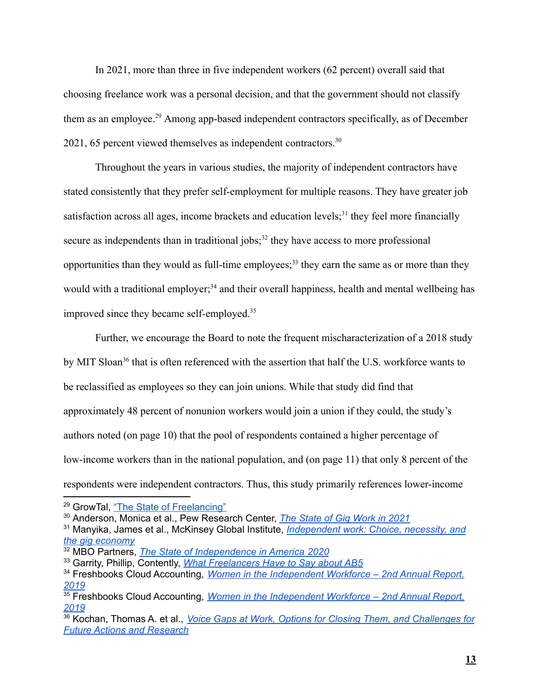In 2021, more than three in five independent workers (62 percent) overall said that choosing freelance work was a personal decision, and that the government should not classify them as an employee.<sup>29</sup> Among app-based independent contractors specifically, as of December 2021, 65 percent viewed themselves as independent contractors.<sup>30</sup>

Throughout the years in various studies, the majority of independent contractors have stated consistently that they prefer self-employment for multiple reasons. They have greater job satisfaction across all ages, income brackets and education levels;<sup>31</sup> they feel more financially secure as independents than in traditional jobs; $32$  they have access to more professional opportunities than they would as full-time employees;<sup>33</sup> they earn the same as or more than they would with a traditional employer;<sup>34</sup> and their overall happiness, health and mental wellbeing has improved since they became self-employed.<sup>35</sup>

Further, we encourage the Board to note the frequent mischaracterization of a 2018 study by MIT Sloan<sup>36</sup> that is often referenced with the assertion that half the U.S. workforce wants to be reclassified as employees so they can join unions. While that study did find that approximately 48 percent of nonunion workers would join a union if they could, the study's authors noted (on page 10) that the pool of respondents contained a higher percentage of low-income workers than in the national population, and (on page 11) that only 8 percent of the respondents were independent contractors. Thus, this study primarily references lower-income

<sup>29</sup> GrowTal, "The State of [Freelancing"](https://finance.yahoo.com/news/greater-flexibility-improved-mental-wellbeing-130000389.html)

<sup>30</sup> Anderson, Monica et al., Pew Research Center, *The [State](https://www.pewresearch.org/internet/2021/12/08/the-state-of-gig-work-in-2021/) of Gig Work in 2021*

<sup>31</sup> Manyika, James et al., McKinsey Global Institute, *[Independent](https://www.mckinsey.com/featured-insights/employment-and-growth/independent-work-choice-necessity-and-the-gig-economy#) work: Choice, necessity, and the gig [economy](https://www.mckinsey.com/featured-insights/employment-and-growth/independent-work-choice-necessity-and-the-gig-economy#)*

<sup>32</sup> MBO Partners, *The State of [Independence](https://info.mbopartners.com/rs/mbo/images/MBO_Partners_State_of_Independence_2020_Report.pdf) in America 2020*

<sup>33</sup> Garrity, Phillip, Contently, *What [Freelancers](https://contently.net/2020/01/30/resources/we-polled-573-freelancers-about-ab5-theyre-not-happy/) Have to Say about AB5*

<sup>34</sup> Freshbooks Cloud Accounting, *Women in the [Independent](https://www.freshbooks.com/press/data-research/women-in-the-workforce-2019) Workforce – 2nd Annual Report, [2019](https://www.freshbooks.com/press/data-research/women-in-the-workforce-2019)*

<sup>35</sup> Freshbooks Cloud Accounting, *Women in the [Independent](https://www.freshbooks.com/press/data-research/women-in-the-workforce-2019) Workforce – 2nd Annual Report, [2019](https://www.freshbooks.com/press/data-research/women-in-the-workforce-2019)*

<sup>36</sup> Kochan, Thomas A. et al., *Voice Gaps at Work, Options for Closing Them, and [Challenges](https://gcgj.mit.edu/sites/default/files/imce/resource-uploads/Kochan%20et%20al.%20Worker%20Voice%20Survey%20Paper%20June%202018.pdf) for Future Actions and [Research](https://gcgj.mit.edu/sites/default/files/imce/resource-uploads/Kochan%20et%20al.%20Worker%20Voice%20Survey%20Paper%20June%202018.pdf)*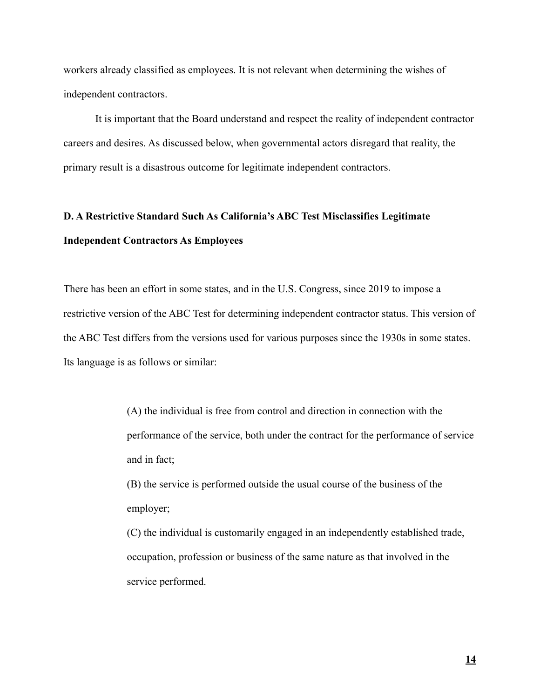workers already classified as employees. It is not relevant when determining the wishes of independent contractors.

It is important that the Board understand and respect the reality of independent contractor careers and desires. As discussed below, when governmental actors disregard that reality, the primary result is a disastrous outcome for legitimate independent contractors.

# **D. A Restrictive Standard Such As California's ABC Test Misclassifies Legitimate Independent Contractors As Employees**

There has been an effort in some states, and in the U.S. Congress, since 2019 to impose a restrictive version of the ABC Test for determining independent contractor status. This version of the ABC Test differs from the versions used for various purposes since the 1930s in some states. Its language is as follows or similar:

> (A) the individual is free from control and direction in connection with the performance of the service, both under the contract for the performance of service and in fact;

(B) the service is performed outside the usual course of the business of the employer;

(C) the individual is customarily engaged in an independently established trade, occupation, profession or business of the same nature as that involved in the service performed.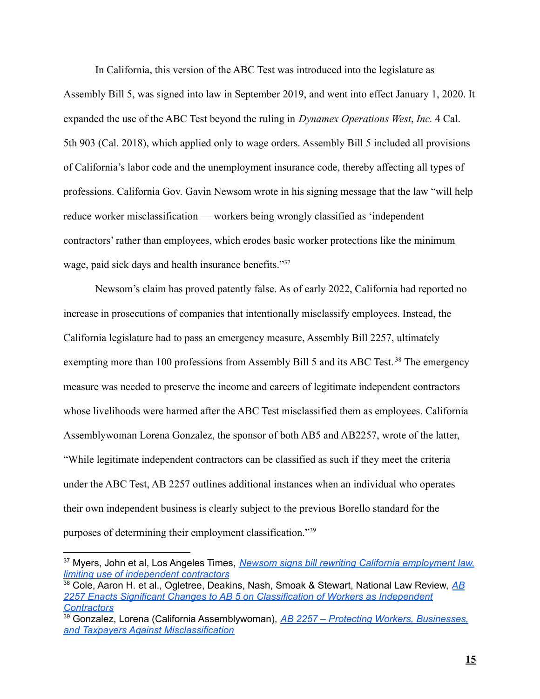In California, this version of the ABC Test was introduced into the legislature as Assembly Bill 5, was signed into law in September 2019, and went into effect January 1, 2020. It expanded the use of the ABC Test beyond the ruling in *Dynamex Operations West*, *Inc.* 4 Cal. 5th 903 (Cal. 2018), which applied only to wage orders. Assembly Bill 5 included all provisions of California's labor code and the unemployment insurance code, thereby affecting all types of professions. California Gov. Gavin Newsom wrote in his signing message that the law "will help reduce worker misclassification — workers being wrongly classified as 'independent contractors' rather than employees, which erodes basic worker protections like the minimum wage, paid sick days and health insurance benefits."<sup>37</sup>

Newsom's claim has proved patently false. As of early 2022, California had reported no increase in prosecutions of companies that intentionally misclassify employees. Instead, the California legislature had to pass an emergency measure, Assembly Bill 2257, ultimately exempting more than 100 professions from Assembly Bill 5 and its ABC Test.<sup>38</sup> The emergency measure was needed to preserve the income and careers of legitimate independent contractors whose livelihoods were harmed after the ABC Test misclassified them as employees. California Assemblywoman Lorena Gonzalez, the sponsor of both AB5 and AB2257, wrote of the latter, "While legitimate independent contractors can be classified as such if they meet the criteria under the ABC Test, AB 2257 outlines additional instances when an individual who operates their own independent business is clearly subject to the previous Borello standard for the purposes of determining their employment classification."<sup>39</sup>

<sup>37</sup> Myers, John et al, Los Angeles Times, *Newsom signs bill rewriting California [employment](https://www.latimes.com/california/story/2019-09-18/gavin-newsom-signs-ab5-employees0independent-contractors-california) law, limiting use of [independent](https://www.latimes.com/california/story/2019-09-18/gavin-newsom-signs-ab5-employees0independent-contractors-california) contractors*

<sup>38</sup> Cole, Aaron H. et al., Ogletree, Deakins, Nash, Smoak & Stewart, National Law Review, *[AB](https://www.natlawreview.com/article/ab-2257-enacts-significant-changes-to-ab-5-classification-workers-independent) 2257 Enacts Significant Changes to AB 5 on [Classification](https://www.natlawreview.com/article/ab-2257-enacts-significant-changes-to-ab-5-classification-workers-independent) of Workers as Independent [Contractors](https://www.natlawreview.com/article/ab-2257-enacts-significant-changes-to-ab-5-classification-workers-independent)*

<sup>39</sup> Gonzalez, Lorena (California Assemblywoman), *AB 2257 – Protecting Workers, [Businesses,](https://a80.asmdc.org/sites/a80.asmdc.org/files/pdf/AB%202257%20%28Gonzalez%29%20Factsheet%20FINAL%208.25.20.pdf) and Taxpayers Against [Misclassification](https://a80.asmdc.org/sites/a80.asmdc.org/files/pdf/AB%202257%20%28Gonzalez%29%20Factsheet%20FINAL%208.25.20.pdf)*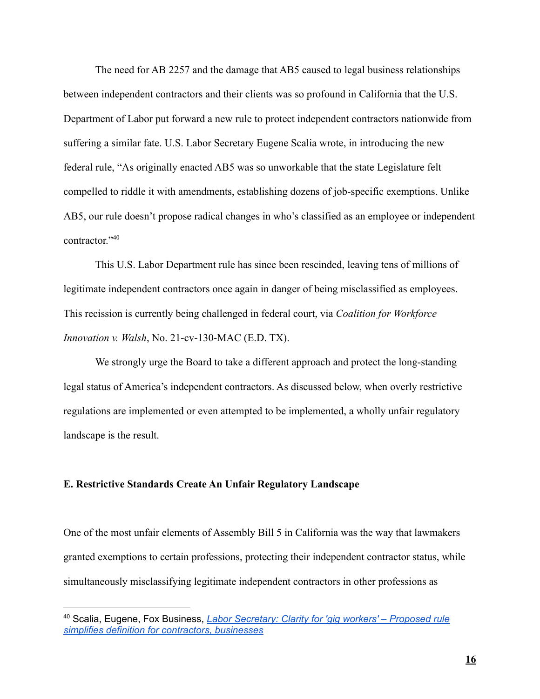The need for AB 2257 and the damage that AB5 caused to legal business relationships between independent contractors and their clients was so profound in California that the U.S. Department of Labor put forward a new rule to protect independent contractors nationwide from suffering a similar fate. U.S. Labor Secretary Eugene Scalia wrote, in introducing the new federal rule, "As originally enacted AB5 was so unworkable that the state Legislature felt compelled to riddle it with amendments, establishing dozens of job-specific exemptions. Unlike AB5, our rule doesn't propose radical changes in who's classified as an employee or independent contractor."<sup>40</sup>

This U.S. Labor Department rule has since been rescinded, leaving tens of millions of legitimate independent contractors once again in danger of being misclassified as employees. This recission is currently being challenged in federal court, via *Coalition for Workforce Innovation v. Walsh*, No. 21-cv-130-MAC (E.D. TX).

We strongly urge the Board to take a different approach and protect the long-standing legal status of America's independent contractors. As discussed below, when overly restrictive regulations are implemented or even attempted to be implemented, a wholly unfair regulatory landscape is the result.

### **E. Restrictive Standards Create An Unfair Regulatory Landscape**

One of the most unfair elements of Assembly Bill 5 in California was the way that lawmakers granted exemptions to certain professions, protecting their independent contractor status, while simultaneously misclassifying legitimate independent contractors in other professions as

<sup>40</sup> Scalia, Eugene, Fox Business, *Labor [Secretary:](https://www.foxbusiness.com/economy/labor-secretary-gig-workers-rule-contractors-businesses) Clarity for 'gig workers' – Proposed rule simplifies definition for [contractors,](https://www.foxbusiness.com/economy/labor-secretary-gig-workers-rule-contractors-businesses) businesses*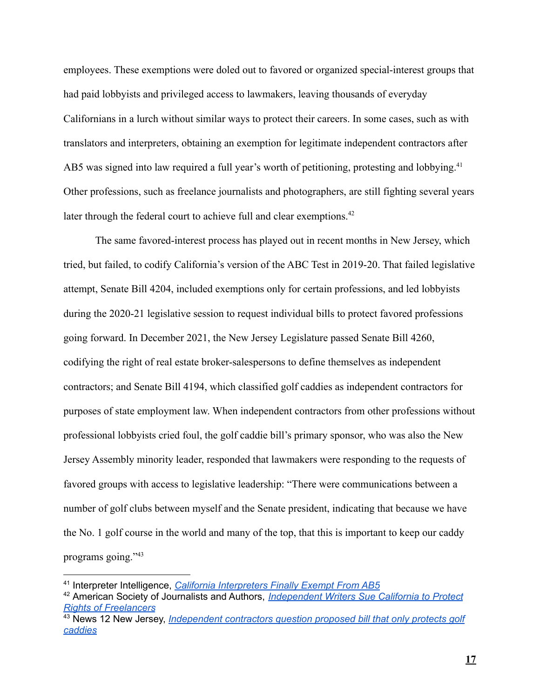employees. These exemptions were doled out to favored or organized special-interest groups that had paid lobbyists and privileged access to lawmakers, leaving thousands of everyday Californians in a lurch without similar ways to protect their careers. In some cases, such as with translators and interpreters, obtaining an exemption for legitimate independent contractors after AB5 was signed into law required a full year's worth of petitioning, protesting and lobbying.<sup>41</sup> Other professions, such as freelance journalists and photographers, are still fighting several years later through the federal court to achieve full and clear exemptions.<sup>42</sup>

The same favored-interest process has played out in recent months in New Jersey, which tried, but failed, to codify California's version of the ABC Test in 2019-20. That failed legislative attempt, Senate Bill 4204, included exemptions only for certain professions, and led lobbyists during the 2020-21 legislative session to request individual bills to protect favored professions going forward. In December 2021, the New Jersey Legislature passed Senate Bill 4260, codifying the right of real estate broker-salespersons to define themselves as independent contractors; and Senate Bill 4194, which classified golf caddies as independent contractors for purposes of state employment law. When independent contractors from other professions without professional lobbyists cried foul, the golf caddie bill's primary sponsor, who was also the New Jersey Assembly minority leader, responded that lawmakers were responding to the requests of favored groups with access to legislative leadership: "There were communications between a number of golf clubs between myself and the Senate president, indicating that because we have the No. 1 golf course in the world and many of the top, that this is important to keep our caddy programs going."<sup>43</sup>

<sup>41</sup> Interpreter Intelligence, *California [Interpreters](https://www.interpreterintelligence.com/california-interpreters-finally-exempt-from-ab5/) Finally Exempt From AB5*

<sup>42</sup> American Society of Journalists and Authors, *[Independent](https://www.asja.org/who-we-are/media-releases/independent-writers-sue-california-to-protect-rights-of-freelancers/) Writers Sue California to Protect Rights of [Freelancers](https://www.asja.org/who-we-are/media-releases/independent-writers-sue-california-to-protect-rights-of-freelancers/)*

<sup>43</sup> News 12 New Jersey, *[Independent](https://newjersey.news12.com/independent-contractors-question-proposed-bill-that-only-protects-golf-caddies) contractors question proposed bill that only protects golf [caddies](https://newjersey.news12.com/independent-contractors-question-proposed-bill-that-only-protects-golf-caddies)*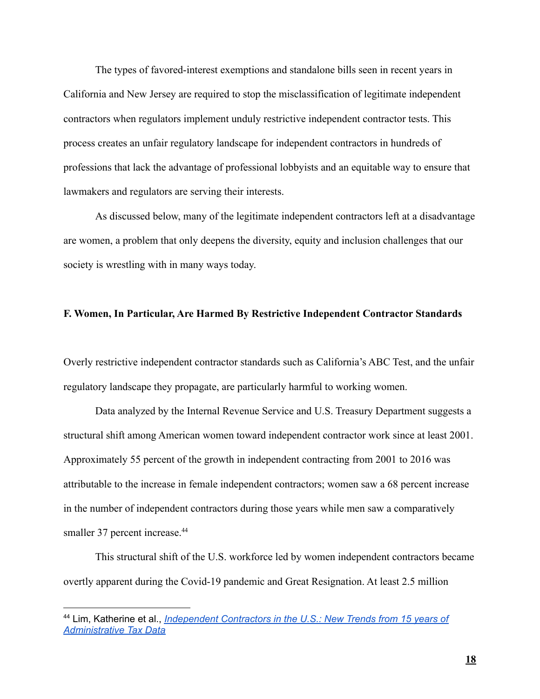The types of favored-interest exemptions and standalone bills seen in recent years in California and New Jersey are required to stop the misclassification of legitimate independent contractors when regulators implement unduly restrictive independent contractor tests. This process creates an unfair regulatory landscape for independent contractors in hundreds of professions that lack the advantage of professional lobbyists and an equitable way to ensure that lawmakers and regulators are serving their interests.

As discussed below, many of the legitimate independent contractors left at a disadvantage are women, a problem that only deepens the diversity, equity and inclusion challenges that our society is wrestling with in many ways today.

#### **F. Women, In Particular, Are Harmed By Restrictive Independent Contractor Standards**

Overly restrictive independent contractor standards such as California's ABC Test, and the unfair regulatory landscape they propagate, are particularly harmful to working women.

Data analyzed by the Internal Revenue Service and U.S. Treasury Department suggests a structural shift among American women toward independent contractor work since at least 2001. Approximately 55 percent of the growth in independent contracting from 2001 to 2016 was attributable to the increase in female independent contractors; women saw a 68 percent increase in the number of independent contractors during those years while men saw a comparatively smaller 37 percent increase.<sup>44</sup>

This structural shift of the U.S. workforce led by women independent contractors became overtly apparent during the Covid-19 pandemic and Great Resignation. At least 2.5 million

<sup>44</sup> Lim, Katherine et al., *[Independent](https://www.irs.gov/pub/irs-soi/19rpindcontractorinus.pdf) Contractors in the U.S.: New Trends from 15 years of [Administrative](https://www.irs.gov/pub/irs-soi/19rpindcontractorinus.pdf) Tax Data*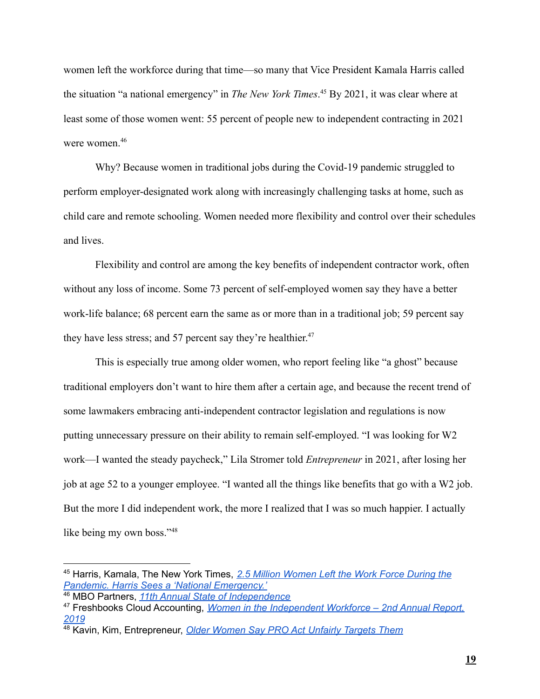women left the workforce during that time—so many that Vice President Kamala Harris called the situation "a national emergency" in *The New York Times*. <sup>45</sup> By 2021, it was clear where at least some of those women went: 55 percent of people new to independent contracting in 2021 were women<sup>46</sup>

Why? Because women in traditional jobs during the Covid-19 pandemic struggled to perform employer-designated work along with increasingly challenging tasks at home, such as child care and remote schooling. Women needed more flexibility and control over their schedules and lives.

Flexibility and control are among the key benefits of independent contractor work, often without any loss of income. Some 73 percent of self-employed women say they have a better work-life balance; 68 percent earn the same as or more than in a traditional job; 59 percent say they have less stress; and 57 percent say they're healthier.<sup>47</sup>

This is especially true among older women, who report feeling like "a ghost" because traditional employers don't want to hire them after a certain age, and because the recent trend of some lawmakers embracing anti-independent contractor legislation and regulations is now putting unnecessary pressure on their ability to remain self-employed. "I was looking for W2 work—I wanted the steady paycheck," Lila Stromer told *Entrepreneur* in 2021, after losing her job at age 52 to a younger employee. "I wanted all the things like benefits that go with a W2 job. But the more I did independent work, the more I realized that I was so much happier. I actually like being my own boss."<sup>48</sup>

<sup>45</sup> Harris, Kamala, The New York Times, *2.5 Million [Women](https://www.nytimes.com/2021/02/18/us/politics/women-pandemic-harris.html) Left the Work Force During the Pandemic. Harris Sees a 'National [Emergency.'](https://www.nytimes.com/2021/02/18/us/politics/women-pandemic-harris.html)*

<sup>46</sup> MBO Partners, *11th Annual State of [Independence](https://www.mbopartners.com/state-of-independence/)*

<sup>47</sup> Freshbooks Cloud Accounting, *Women in the [Independent](https://www.freshbooks.com/press/data-research/women-in-the-workforce-2019) Workforce – 2nd Annual Report, [2019](https://www.freshbooks.com/press/data-research/women-in-the-workforce-2019)*

<sup>48</sup> Kavin, Kim, Entrepreneur, *Older [Women](https://www.entrepreneur.com/article/375537) Say PRO Act Unfairly Targets Them*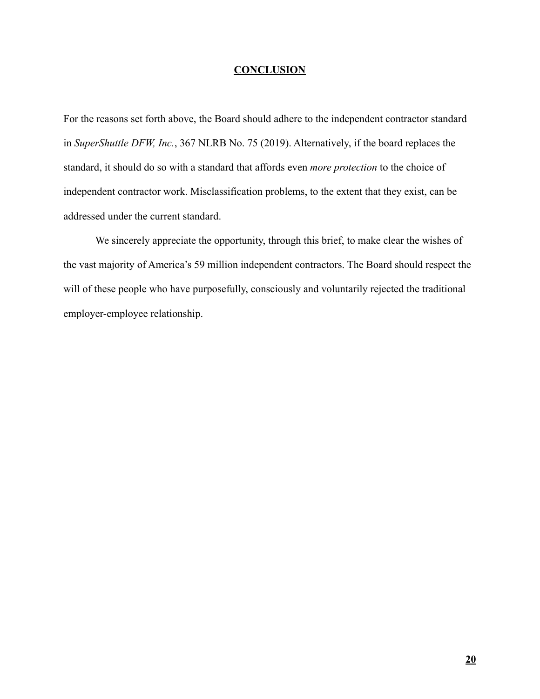#### **CONCLUSION**

For the reasons set forth above, the Board should adhere to the independent contractor standard in *SuperShuttle DFW, Inc.*, 367 NLRB No. 75 (2019). Alternatively, if the board replaces the standard, it should do so with a standard that affords even *more protection* to the choice of independent contractor work. Misclassification problems, to the extent that they exist, can be addressed under the current standard.

We sincerely appreciate the opportunity, through this brief, to make clear the wishes of the vast majority of America's 59 million independent contractors. The Board should respect the will of these people who have purposefully, consciously and voluntarily rejected the traditional employer-employee relationship.